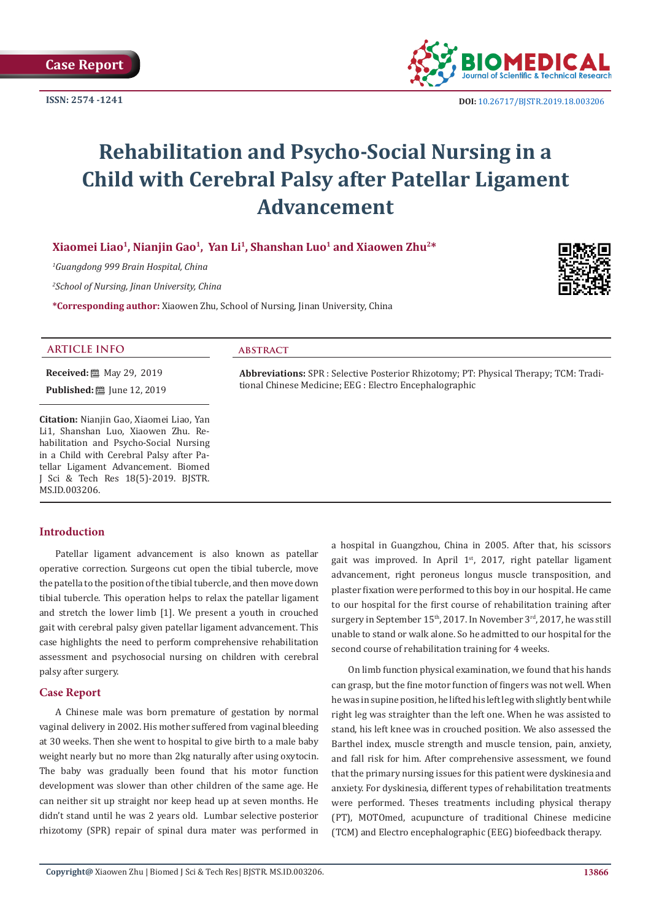

 **DOI:** [10.26717/BJSTR.2019.18.0032](http://dx.doi.org/10.26717/BJSTR.2019.18.003206)06

# **Rehabilitation and Psycho-Social Nursing in a Child with Cerebral Palsy after Patellar Ligament Advancement**

**Xiaomei Liao1, Nianjin Gao1, Yan Li1, Shanshan Luo1 and Xiaowen Zhu2\***

*1 Guangdong 999 Brain Hospital, China*

*2 School of Nursing, Jinan University, China* 

**\*Corresponding author:** Xiaowen Zhu, School of Nursing, Jinan University, China



# **ARTICLE INFO abstract**

**Received:** ■ May 29, 2019

**Published:** ■ June 12, 2019

**Citation:** Nianjin Gao, Xiaomei Liao, Yan Li1, Shanshan Luo, Xiaowen Zhu. Rehabilitation and Psycho-Social Nursing in a Child with Cerebral Palsy after Patellar Ligament Advancement. Biomed J Sci & Tech Res 18(5)-2019. BJSTR. MS.ID.003206.

# **Introduction**

Patellar ligament advancement is also known as patellar operative correction. Surgeons cut open the tibial tubercle, move the patella to the position of the tibial tubercle, and then move down tibial tubercle. This operation helps to relax the patellar ligament and stretch the lower limb [1]. We present a youth in crouched gait with cerebral palsy given patellar ligament advancement. This case highlights the need to perform comprehensive rehabilitation assessment and psychosocial nursing on children with cerebral palsy after surgery.

# **Case Report**

A Chinese male was born premature of gestation by normal vaginal delivery in 2002. His mother suffered from vaginal bleeding at 30 weeks. Then she went to hospital to give birth to a male baby weight nearly but no more than 2kg naturally after using oxytocin. The baby was gradually been found that his motor function development was slower than other children of the same age. He can neither sit up straight nor keep head up at seven months. He didn't stand until he was 2 years old. Lumbar selective posterior rhizotomy (SPR) repair of spinal dura mater was performed in

a hospital in Guangzhou, China in 2005. After that, his scissors gait was improved. In April  $1<sup>st</sup>$ , 2017, right patellar ligament advancement, right peroneus longus muscle transposition, and plaster fixation were performed to this boy in our hospital. He came to our hospital for the first course of rehabilitation training after surgery in September  $15<sup>th</sup>$ , 2017. In November  $3<sup>rd</sup>$ , 2017, he was still unable to stand or walk alone. So he admitted to our hospital for the second course of rehabilitation training for 4 weeks.

**Abbreviations:** SPR : Selective Posterior Rhizotomy; PT: Physical Therapy; TCM: Tradi-

tional Chinese Medicine; EEG : Electro Encephalographic

On limb function physical examination, we found that his hands can grasp, but the fine motor function of fingers was not well. When he was in supine position, he lifted his left leg with slightly bent while right leg was straighter than the left one. When he was assisted to stand, his left knee was in crouched position. We also assessed the Barthel index, muscle strength and muscle tension, pain, anxiety, and fall risk for him. After comprehensive assessment, we found that the primary nursing issues for this patient were dyskinesia and anxiety. For dyskinesia, different types of rehabilitation treatments were performed. Theses treatments including physical therapy (PT), MOTOmed, acupuncture of traditional Chinese medicine (TCM) and Electro encephalographic (EEG) biofeedback therapy.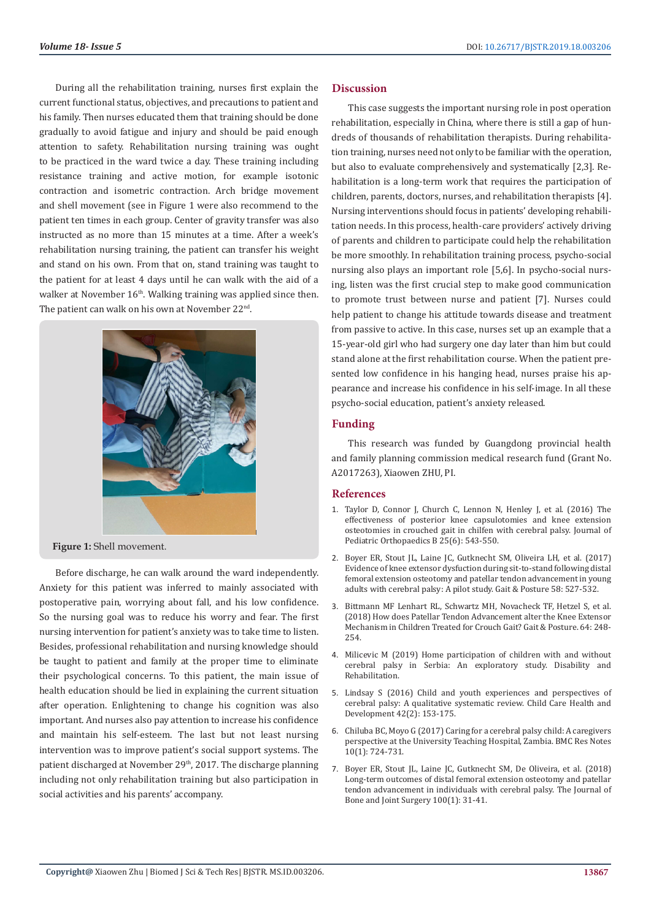During all the rehabilitation training, nurses first explain the current functional status, objectives, and precautions to patient and his family. Then nurses educated them that training should be done gradually to avoid fatigue and injury and should be paid enough attention to safety. Rehabilitation nursing training was ought to be practiced in the ward twice a day. These training including resistance training and active motion, for example isotonic contraction and isometric contraction. Arch bridge movement and shell movement (see in Figure 1 were also recommend to the patient ten times in each group. Center of gravity transfer was also instructed as no more than 15 minutes at a time. After a week's rehabilitation nursing training, the patient can transfer his weight and stand on his own. From that on, stand training was taught to the patient for at least 4 days until he can walk with the aid of a walker at November  $16<sup>th</sup>$ . Walking training was applied since then. The patient can walk on his own at November 22<sup>nd</sup>.



**Figure 1:** Shell movement.

Before discharge, he can walk around the ward independently. Anxiety for this patient was inferred to mainly associated with postoperative pain, worrying about fall, and his low confidence. So the nursing goal was to reduce his worry and fear. The first nursing intervention for patient's anxiety was to take time to listen. Besides, professional rehabilitation and nursing knowledge should be taught to patient and family at the proper time to eliminate their psychological concerns. To this patient, the main issue of health education should be lied in explaining the current situation after operation. Enlightening to change his cognition was also important. And nurses also pay attention to increase his confidence and maintain his self-esteem. The last but not least nursing intervention was to improve patient's social support systems. The patient discharged at November 29<sup>th</sup>, 2017. The discharge planning including not only rehabilitation training but also participation in social activities and his parents' accompany.

#### **Discussion**

This case suggests the important nursing role in post operation rehabilitation, especially in China, where there is still a gap of hundreds of thousands of rehabilitation therapists. During rehabilitation training, nurses need not only to be familiar with the operation, but also to evaluate comprehensively and systematically [2,3]. Rehabilitation is a long-term work that requires the participation of children, parents, doctors, nurses, and rehabilitation therapists [4]. Nursing interventions should focus in patients' developing rehabilitation needs. In this process, health-care providers' actively driving of parents and children to participate could help the rehabilitation be more smoothly. In rehabilitation training process, psycho-social nursing also plays an important role [5,6]. In psycho-social nursing, listen was the first crucial step to make good communication to promote trust between nurse and patient [7]. Nurses could help patient to change his attitude towards disease and treatment from passive to active. In this case, nurses set up an example that a 15-year-old girl who had surgery one day later than him but could stand alone at the first rehabilitation course. When the patient presented low confidence in his hanging head, nurses praise his appearance and increase his confidence in his self-image. In all these psycho-social education, patient's anxiety released.

# **Funding**

This research was funded by Guangdong provincial health and family planning commission medical research fund (Grant No. A2017263), Xiaowen ZHU, PI.

#### **References**

- 1. [Taylor D, Connor J, Church C, Lennon N, Henley J, et al. \(2016\) The](https://www.ncbi.nlm.nih.gov/pubmed/27392300) [effectiveness of posterior knee capsulotomies and knee extension](https://www.ncbi.nlm.nih.gov/pubmed/27392300) [osteotomies in crouched gait in chilfen with cerebral palsy. Journal of](https://www.ncbi.nlm.nih.gov/pubmed/27392300) [Pediatric Orthopaedics B 25\(6\): 543-550.](https://www.ncbi.nlm.nih.gov/pubmed/27392300)
- 2. [Boyer ER, Stout JL, Laine JC, Gutknecht SM, Oliveira LH, et al. \(2017\)](https://www.ncbi.nlm.nih.gov/pubmed/28961550) [Evidence of knee extensor dysfuction during sit-to-stand following distal](https://www.ncbi.nlm.nih.gov/pubmed/28961550) [femoral extension osteotomy and patellar tendon advancement in young](https://www.ncbi.nlm.nih.gov/pubmed/28961550) [adults with cerebral palsy: A pilot study. Gait & Posture 58: 527-532.](https://www.ncbi.nlm.nih.gov/pubmed/28961550)
- 3. [Bittmann MF Lenhart RL, Schwartz MH, Novacheck TF, Hetzel S, et al.](https://www.ncbi.nlm.nih.gov/pubmed/29958159) [\(2018\) How does Patellar Tendon Advancement alter the Knee Extensor](https://www.ncbi.nlm.nih.gov/pubmed/29958159) [Mechanism in Children Treated for Crouch Gait? Gait & Posture. 64: 248-](https://www.ncbi.nlm.nih.gov/pubmed/29958159) [254.](https://www.ncbi.nlm.nih.gov/pubmed/29958159)
- 4. [Milicevic M \(2019\) Home participation of children with and without](https://www.tandfonline.com/doi/abs/10.1080/09638288.2019.1610506?journalCode=idre20) [cerebral palsy in Serbia: An exploratory study. Disability and](https://www.tandfonline.com/doi/abs/10.1080/09638288.2019.1610506?journalCode=idre20) [Rehabilitation.](https://www.tandfonline.com/doi/abs/10.1080/09638288.2019.1610506?journalCode=idre20)
- 5. [Lindsay S \(2016\) Child and youth experiences and perspectives of](https://www.ncbi.nlm.nih.gov/pubmed/26754030) [cerebral palsy: A qualitative systematic review. Child Care Health and](https://www.ncbi.nlm.nih.gov/pubmed/26754030) [Development 42\(2\): 153-175.](https://www.ncbi.nlm.nih.gov/pubmed/26754030)
- 6. [Chiluba BC, Moyo G \(2017\) Caring for a cerebral palsy child: A caregivers](https://www.ncbi.nlm.nih.gov/pubmed/29221493) [perspective at the University Teaching Hospital, Zambia. BMC Res Notes](https://www.ncbi.nlm.nih.gov/pubmed/29221493) [10\(1\): 724-731.](https://www.ncbi.nlm.nih.gov/pubmed/29221493)
- 7. [Boyer ER, Stout JL, Laine JC, Gutknecht SM, De Oliveira, et al. \(2018\)](https://www.ncbi.nlm.nih.gov/pubmed/29298258) [Long-term outcomes of distal femoral extension osteotomy and patellar](https://www.ncbi.nlm.nih.gov/pubmed/29298258) [tendon advancement in individuals with cerebral palsy. The Journal of](https://www.ncbi.nlm.nih.gov/pubmed/29298258) [Bone and Joint Surgery 100\(1\): 31-41.](https://www.ncbi.nlm.nih.gov/pubmed/29298258)